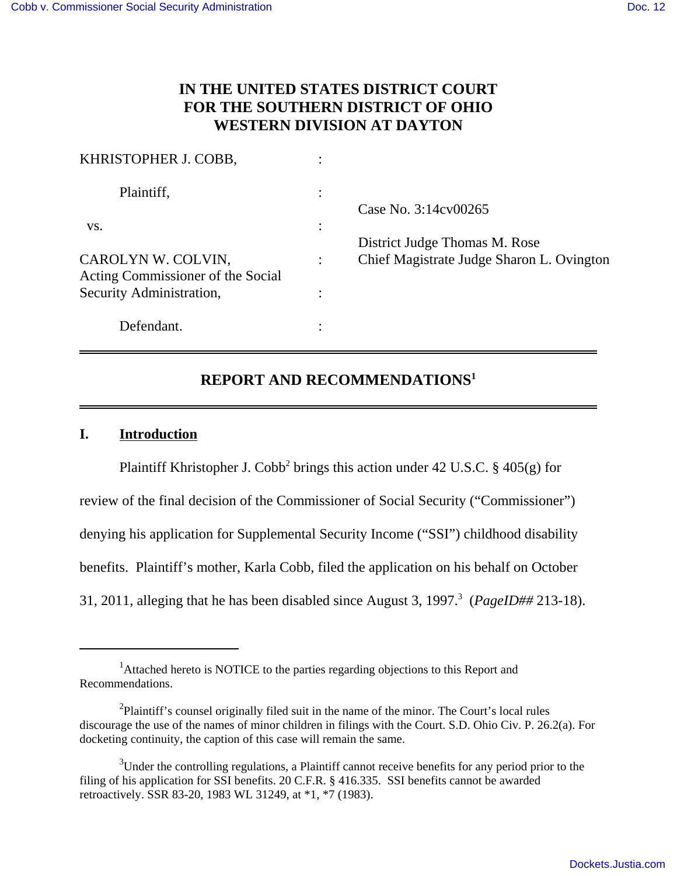# **IN THE UNITED STATES DISTRICT COURT FOR THE SOUTHERN DISTRICT OF OHIO WESTERN DIVISION AT DAYTON**

| KHRISTOPHER J. COBB,                                    |  |                                                       |
|---------------------------------------------------------|--|-------------------------------------------------------|
| Plaintiff,                                              |  | Case No. 3:14cv00265<br>District Judge Thomas M. Rose |
| VS.                                                     |  |                                                       |
| CAROLYN W. COLVIN,<br>Acting Commissioner of the Social |  | Chief Magistrate Judge Sharon L. Ovington             |
| Security Administration,                                |  |                                                       |
| Defendant.                                              |  |                                                       |

# **REPORT AND RECOMMENDATIONS<sup>1</sup>**

# **I. Introduction**

Plaintiff Khristopher J. Cobb<sup>2</sup> brings this action under 42 U.S.C. § 405(g) for review of the final decision of the Commissioner of Social Security ("Commissioner") denying his application for Supplemental Security Income ("SSI") childhood disability benefits. Plaintiff's mother, Karla Cobb, filed the application on his behalf on October 31, 2011, alleging that he has been disabled since August 3,  $1997<sup>3</sup>$  (*PageID##* 213-18).

<sup>&</sup>lt;sup>1</sup>Attached hereto is NOTICE to the parties regarding objections to this Report and Recommendations.

 $2$ Plaintiff's counsel originally filed suit in the name of the minor. The Court's local rules discourage the use of the names of minor children in filings with the Court. S.D. Ohio Civ. P. 26.2(a). For docketing continuity, the caption of this case will remain the same.

<sup>&</sup>lt;sup>3</sup>Under the controlling regulations, a Plaintiff cannot receive benefits for any period prior to the filing of his application for SSI benefits. 20 C.F.R. § 416.335. SSI benefits cannot be awarded retroactively. SSR 83-20, 1983 WL 31249, at \*1, \*7 (1983).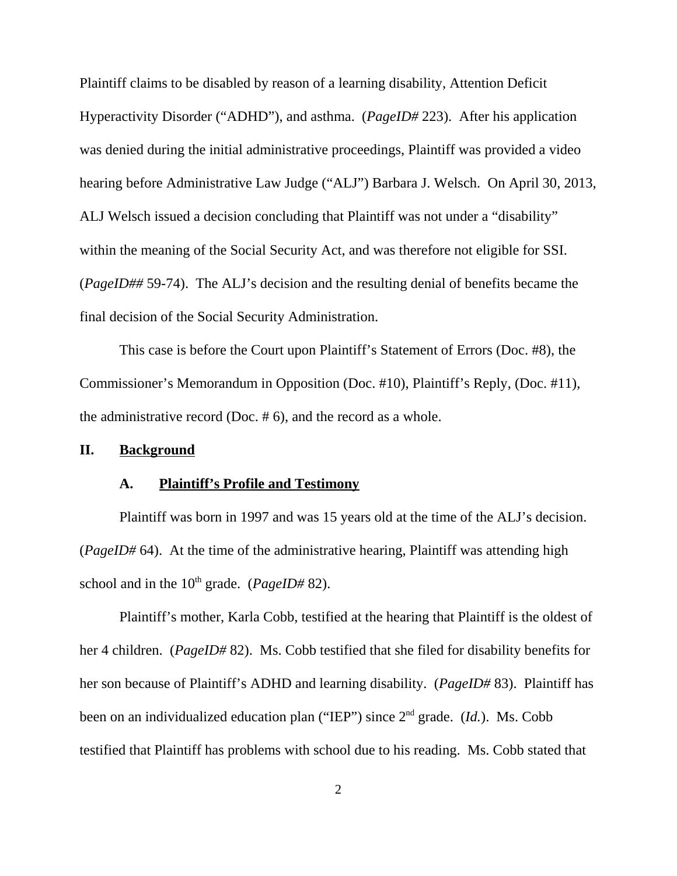Plaintiff claims to be disabled by reason of a learning disability, Attention Deficit Hyperactivity Disorder ("ADHD"), and asthma. (*PageID#* 223). After his application was denied during the initial administrative proceedings, Plaintiff was provided a video hearing before Administrative Law Judge ("ALJ") Barbara J. Welsch. On April 30, 2013, ALJ Welsch issued a decision concluding that Plaintiff was not under a "disability" within the meaning of the Social Security Act, and was therefore not eligible for SSI. (*PageID##* 59-74). The ALJ's decision and the resulting denial of benefits became the final decision of the Social Security Administration.

This case is before the Court upon Plaintiff's Statement of Errors (Doc. #8), the Commissioner's Memorandum in Opposition (Doc. #10), Plaintiff's Reply, (Doc. #11), the administrative record (Doc. # 6), and the record as a whole.

### **II. Background**

## **A. Plaintiff's Profile and Testimony**

Plaintiff was born in 1997 and was 15 years old at the time of the ALJ's decision. (*PageID#* 64). At the time of the administrative hearing, Plaintiff was attending high school and in the 10<sup>th</sup> grade. (*PageID#* 82).

Plaintiff's mother, Karla Cobb, testified at the hearing that Plaintiff is the oldest of her 4 children. (*PageID#* 82). Ms. Cobb testified that she filed for disability benefits for her son because of Plaintiff's ADHD and learning disability. (*PageID#* 83). Plaintiff has been on an individualized education plan ("IEP") since 2nd grade. (*Id.*). Ms. Cobb testified that Plaintiff has problems with school due to his reading. Ms. Cobb stated that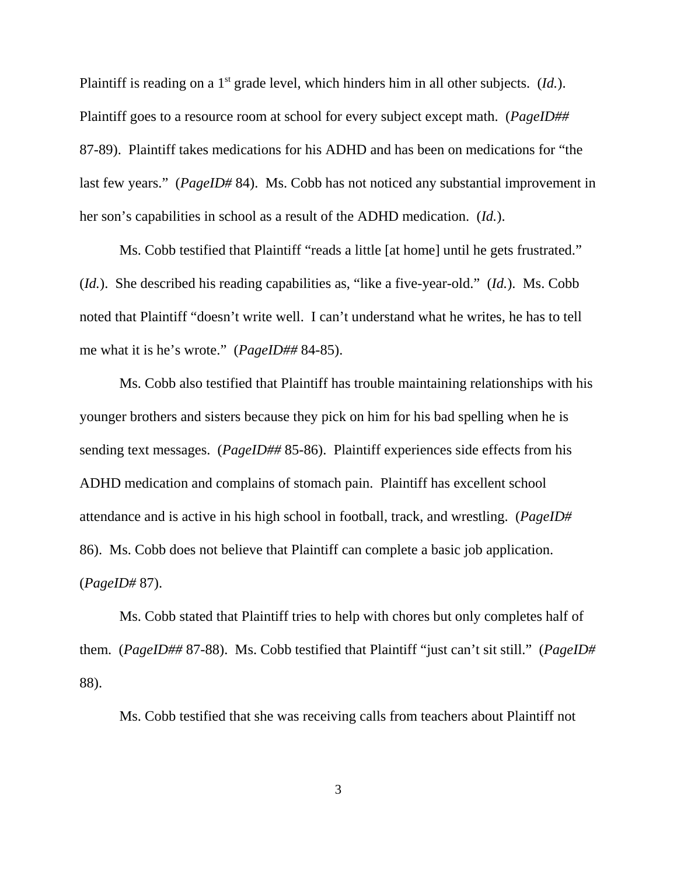Plaintiff is reading on a 1<sup>st</sup> grade level, which hinders him in all other subjects. (*Id.*). Plaintiff goes to a resource room at school for every subject except math. (*PageID##* 87-89). Plaintiff takes medications for his ADHD and has been on medications for "the last few years." (*PageID#* 84). Ms. Cobb has not noticed any substantial improvement in her son's capabilities in school as a result of the ADHD medication. (*Id.*).

Ms. Cobb testified that Plaintiff "reads a little [at home] until he gets frustrated." (*Id.*). She described his reading capabilities as, "like a five-year-old." (*Id.*). Ms. Cobb noted that Plaintiff "doesn't write well. I can't understand what he writes, he has to tell me what it is he's wrote." (*PageID##* 84-85).

Ms. Cobb also testified that Plaintiff has trouble maintaining relationships with his younger brothers and sisters because they pick on him for his bad spelling when he is sending text messages. (*PageID##* 85-86). Plaintiff experiences side effects from his ADHD medication and complains of stomach pain. Plaintiff has excellent school attendance and is active in his high school in football, track, and wrestling. (*PageID#* 86). Ms. Cobb does not believe that Plaintiff can complete a basic job application. (*PageID#* 87).

Ms. Cobb stated that Plaintiff tries to help with chores but only completes half of them. (*PageID##* 87-88). Ms. Cobb testified that Plaintiff "just can't sit still." (*PageID#* 88).

Ms. Cobb testified that she was receiving calls from teachers about Plaintiff not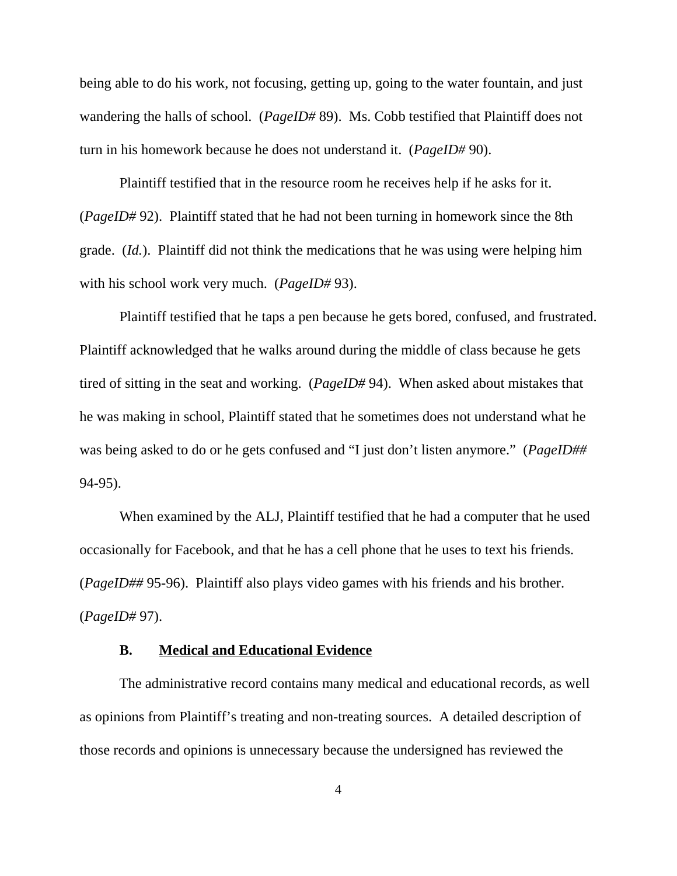being able to do his work, not focusing, getting up, going to the water fountain, and just wandering the halls of school. (*PageID#* 89). Ms. Cobb testified that Plaintiff does not turn in his homework because he does not understand it. (*PageID#* 90).

Plaintiff testified that in the resource room he receives help if he asks for it. (*PageID#* 92). Plaintiff stated that he had not been turning in homework since the 8th grade. (*Id.*). Plaintiff did not think the medications that he was using were helping him with his school work very much. (*PageID#* 93).

Plaintiff testified that he taps a pen because he gets bored, confused, and frustrated. Plaintiff acknowledged that he walks around during the middle of class because he gets tired of sitting in the seat and working. (*PageID#* 94). When asked about mistakes that he was making in school, Plaintiff stated that he sometimes does not understand what he was being asked to do or he gets confused and "I just don't listen anymore." (*PageID##* 94-95).

When examined by the ALJ, Plaintiff testified that he had a computer that he used occasionally for Facebook, and that he has a cell phone that he uses to text his friends. (*PageID##* 95-96). Plaintiff also plays video games with his friends and his brother. (*PageID#* 97).

# **B. Medical and Educational Evidence**

The administrative record contains many medical and educational records, as well as opinions from Plaintiff's treating and non-treating sources. A detailed description of those records and opinions is unnecessary because the undersigned has reviewed the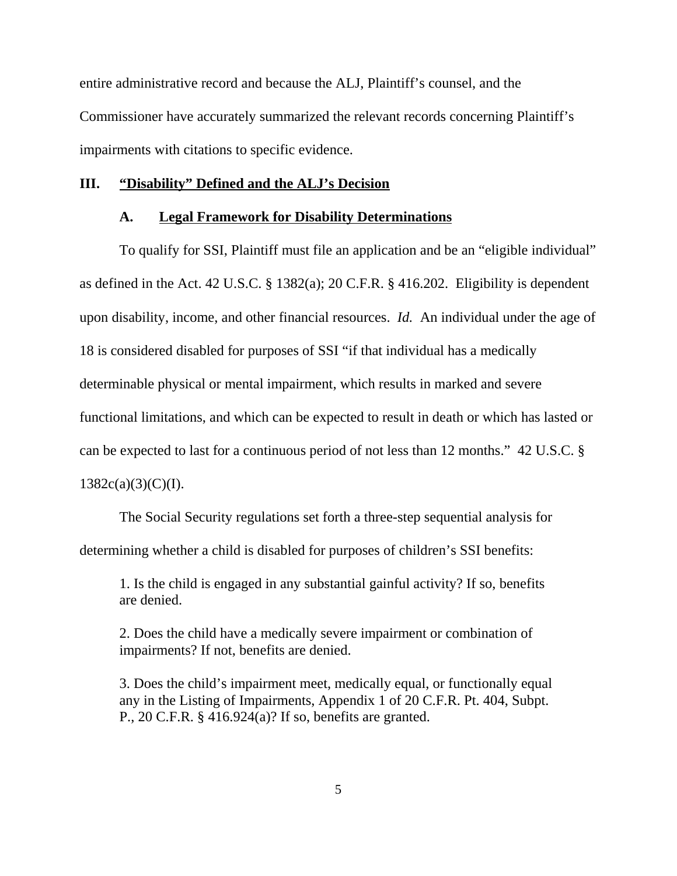entire administrative record and because the ALJ, Plaintiff's counsel, and the Commissioner have accurately summarized the relevant records concerning Plaintiff's impairments with citations to specific evidence.

### **III. "Disability" Defined and the ALJ's Decision**

#### **A. Legal Framework for Disability Determinations**

To qualify for SSI, Plaintiff must file an application and be an "eligible individual" as defined in the Act. 42 U.S.C. § 1382(a); 20 C.F.R. § 416.202. Eligibility is dependent upon disability, income, and other financial resources. *Id.* An individual under the age of 18 is considered disabled for purposes of SSI "if that individual has a medically determinable physical or mental impairment, which results in marked and severe functional limitations, and which can be expected to result in death or which has lasted or can be expected to last for a continuous period of not less than 12 months." 42 U.S.C. §  $1382c(a)(3)(C)(I).$ 

The Social Security regulations set forth a three-step sequential analysis for determining whether a child is disabled for purposes of children's SSI benefits:

1. Is the child is engaged in any substantial gainful activity? If so, benefits are denied.

2. Does the child have a medically severe impairment or combination of impairments? If not, benefits are denied.

3. Does the child's impairment meet, medically equal, or functionally equal any in the Listing of Impairments, Appendix 1 of 20 C.F.R. Pt. 404, Subpt. P., 20 C.F.R. § 416.924(a)? If so, benefits are granted.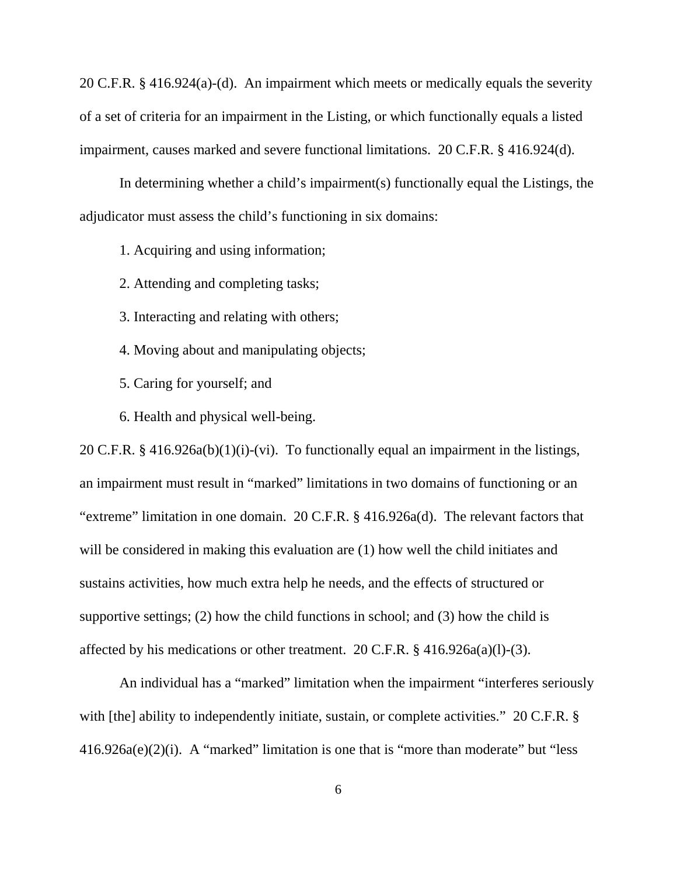20 C.F.R. § 416.924(a)-(d). An impairment which meets or medically equals the severity of a set of criteria for an impairment in the Listing, or which functionally equals a listed impairment, causes marked and severe functional limitations. 20 C.F.R. § 416.924(d).

In determining whether a child's impairment(s) functionally equal the Listings, the adjudicator must assess the child's functioning in six domains:

1. Acquiring and using information;

2. Attending and completing tasks;

3. Interacting and relating with others;

4. Moving about and manipulating objects;

5. Caring for yourself; and

6. Health and physical well-being.

20 C.F.R. § 416.926a(b)(1)(i)-(vi). To functionally equal an impairment in the listings, an impairment must result in "marked" limitations in two domains of functioning or an "extreme" limitation in one domain. 20 C.F.R. § 416.926a(d). The relevant factors that will be considered in making this evaluation are (1) how well the child initiates and sustains activities, how much extra help he needs, and the effects of structured or supportive settings; (2) how the child functions in school; and (3) how the child is affected by his medications or other treatment. 20 C.F.R. § 416.926a(a)(l)-(3).

An individual has a "marked" limitation when the impairment "interferes seriously with [the] ability to independently initiate, sustain, or complete activities." 20 C.F.R. § 416.926a(e)(2)(i). A "marked" limitation is one that is "more than moderate" but "less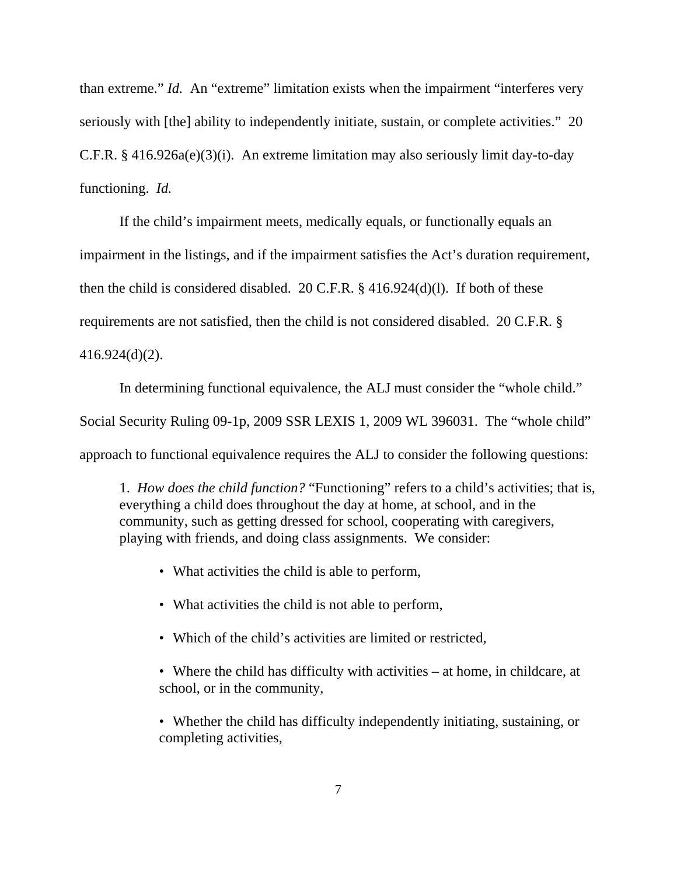than extreme." *Id.* An "extreme" limitation exists when the impairment "interferes very seriously with [the] ability to independently initiate, sustain, or complete activities." 20 C.F.R. § 416.926a(e)(3)(i). An extreme limitation may also seriously limit day-to-day functioning. *Id.*

If the child's impairment meets, medically equals, or functionally equals an impairment in the listings, and if the impairment satisfies the Act's duration requirement, then the child is considered disabled. 20 C.F.R. § 416.924(d)(l). If both of these requirements are not satisfied, then the child is not considered disabled. 20 C.F.R. § 416.924(d)(2).

In determining functional equivalence, the ALJ must consider the "whole child."

Social Security Ruling 09-1p, 2009 SSR LEXIS 1, 2009 WL 396031. The "whole child"

approach to functional equivalence requires the ALJ to consider the following questions:

1. *How does the child function?* "Functioning" refers to a child's activities; that is, everything a child does throughout the day at home, at school, and in the community, such as getting dressed for school, cooperating with caregivers, playing with friends, and doing class assignments. We consider:

- What activities the child is able to perform,
- What activities the child is not able to perform,
- Which of the child's activities are limited or restricted,
- Where the child has difficulty with activities at home, in childcare, at school, or in the community,
- Whether the child has difficulty independently initiating, sustaining, or completing activities,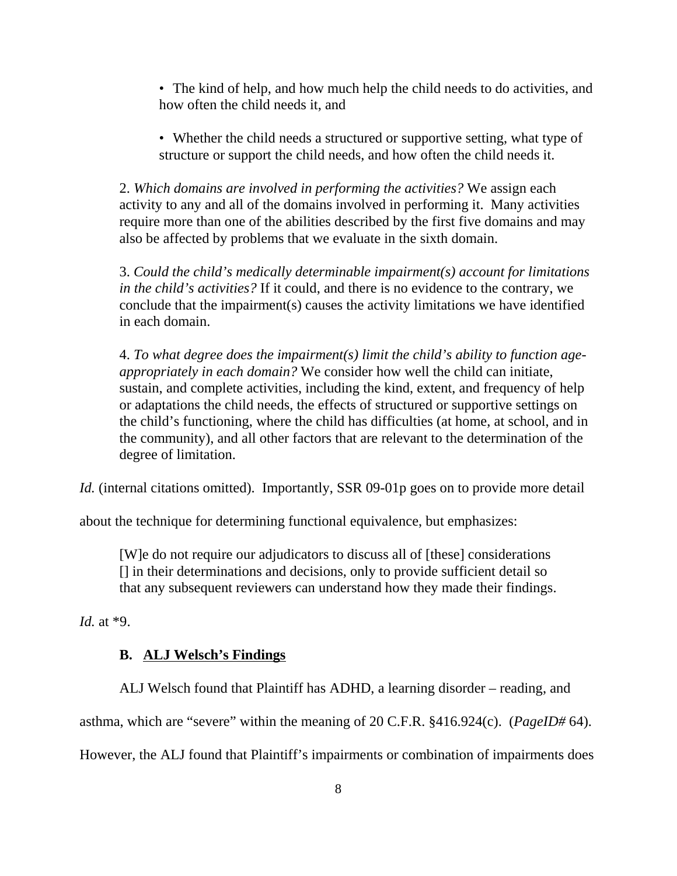- The kind of help, and how much help the child needs to do activities, and how often the child needs it, and
- Whether the child needs a structured or supportive setting, what type of structure or support the child needs, and how often the child needs it.

2. *Which domains are involved in performing the activities?* We assign each activity to any and all of the domains involved in performing it. Many activities require more than one of the abilities described by the first five domains and may also be affected by problems that we evaluate in the sixth domain.

3. *Could the child's medically determinable impairment(s) account for limitations in the child's activities?* If it could, and there is no evidence to the contrary, we conclude that the impairment(s) causes the activity limitations we have identified in each domain.

4. *To what degree does the impairment(s) limit the child's ability to function ageappropriately in each domain?* We consider how well the child can initiate, sustain, and complete activities, including the kind, extent, and frequency of help or adaptations the child needs, the effects of structured or supportive settings on the child's functioning, where the child has difficulties (at home, at school, and in the community), and all other factors that are relevant to the determination of the degree of limitation.

*Id.* (internal citations omitted). Importantly, SSR 09-01p goes on to provide more detail

about the technique for determining functional equivalence, but emphasizes:

[W]e do not require our adjudicators to discuss all of [these] considerations [] in their determinations and decisions, only to provide sufficient detail so that any subsequent reviewers can understand how they made their findings.

*Id.* at \*9.

# **B. ALJ Welsch's Findings**

ALJ Welsch found that Plaintiff has ADHD, a learning disorder – reading, and

asthma, which are "severe" within the meaning of 20 C.F.R. §416.924(c). (*PageID#* 64).

However, the ALJ found that Plaintiff's impairments or combination of impairments does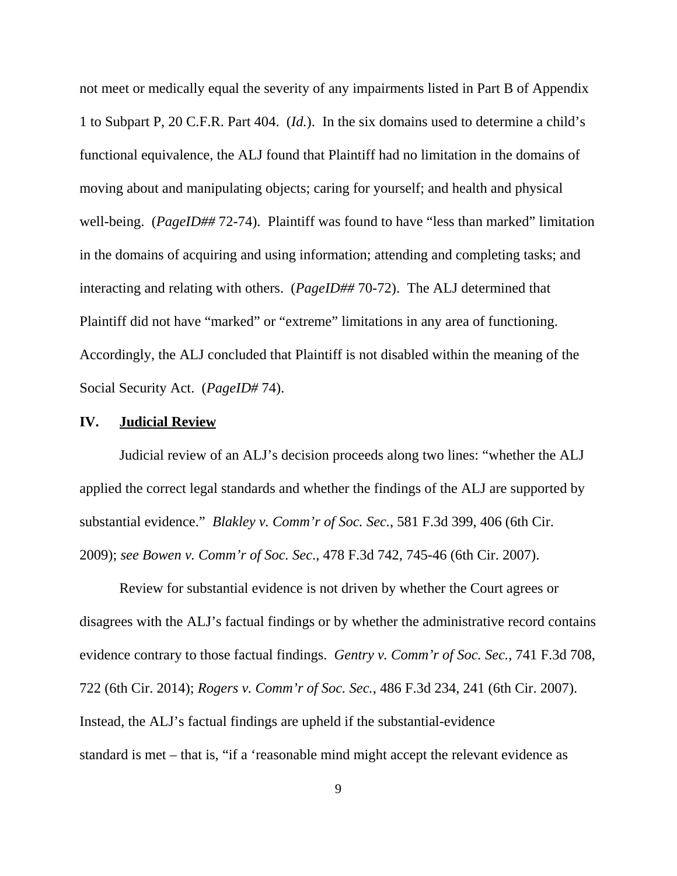not meet or medically equal the severity of any impairments listed in Part B of Appendix 1 to Subpart P, 20 C.F.R. Part 404. (*Id.*). In the six domains used to determine a child's functional equivalence, the ALJ found that Plaintiff had no limitation in the domains of moving about and manipulating objects; caring for yourself; and health and physical well-being. (*PageID##* 72-74). Plaintiff was found to have "less than marked" limitation in the domains of acquiring and using information; attending and completing tasks; and interacting and relating with others. (*PageID##* 70-72). The ALJ determined that Plaintiff did not have "marked" or "extreme" limitations in any area of functioning. Accordingly, the ALJ concluded that Plaintiff is not disabled within the meaning of the Social Security Act. (*PageID#* 74).

# **IV. Judicial Review**

Judicial review of an ALJ's decision proceeds along two lines: "whether the ALJ applied the correct legal standards and whether the findings of the ALJ are supported by substantial evidence." *Blakley v. Comm'r of Soc. Sec.*, 581 F.3d 399, 406 (6th Cir. 2009); *see Bowen v. Comm'r of Soc. Sec*., 478 F.3d 742, 745-46 (6th Cir. 2007).

Review for substantial evidence is not driven by whether the Court agrees or disagrees with the ALJ's factual findings or by whether the administrative record contains evidence contrary to those factual findings. *Gentry v. Comm'r of Soc. Sec.*, 741 F.3d 708, 722 (6th Cir. 2014); *Rogers v. Comm'r of Soc. Sec.*, 486 F.3d 234, 241 (6th Cir. 2007). Instead, the ALJ's factual findings are upheld if the substantial-evidence standard is met – that is, "if a 'reasonable mind might accept the relevant evidence as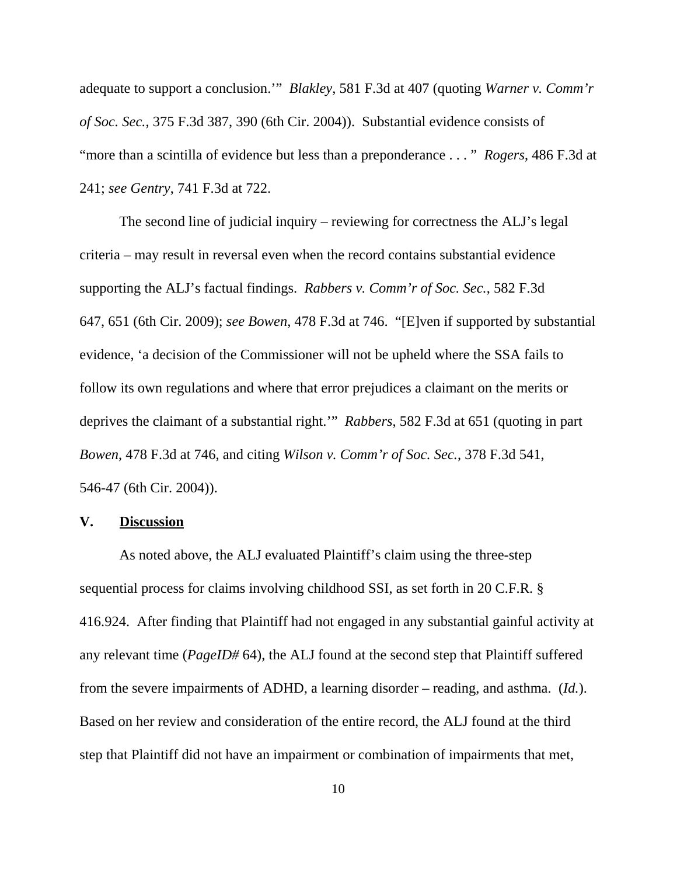adequate to support a conclusion.'" *Blakley*, 581 F.3d at 407 (quoting *Warner v. Comm'r of Soc. Sec.*, 375 F.3d 387, 390 (6th Cir. 2004)). Substantial evidence consists of "more than a scintilla of evidence but less than a preponderance . . . " *Rogers*, 486 F.3d at 241; *see Gentry*, 741 F.3d at 722.

The second line of judicial inquiry – reviewing for correctness the ALJ's legal criteria – may result in reversal even when the record contains substantial evidence supporting the ALJ's factual findings. *Rabbers v. Comm'r of Soc. Sec.*, 582 F.3d 647, 651 (6th Cir. 2009); *see Bowen*, 478 F.3d at 746. "[E]ven if supported by substantial evidence, 'a decision of the Commissioner will not be upheld where the SSA fails to follow its own regulations and where that error prejudices a claimant on the merits or deprives the claimant of a substantial right.'" *Rabbers*, 582 F.3d at 651 (quoting in part *Bowen*, 478 F.3d at 746, and citing *Wilson v. Comm'r of Soc. Sec.*, 378 F.3d 541, 546-47 (6th Cir. 2004)).

# **V. Discussion**

As noted above, the ALJ evaluated Plaintiff's claim using the three-step sequential process for claims involving childhood SSI, as set forth in 20 C.F.R. § 416.924. After finding that Plaintiff had not engaged in any substantial gainful activity at any relevant time (*PageID#* 64), the ALJ found at the second step that Plaintiff suffered from the severe impairments of ADHD, a learning disorder – reading, and asthma. (*Id.*). Based on her review and consideration of the entire record, the ALJ found at the third step that Plaintiff did not have an impairment or combination of impairments that met,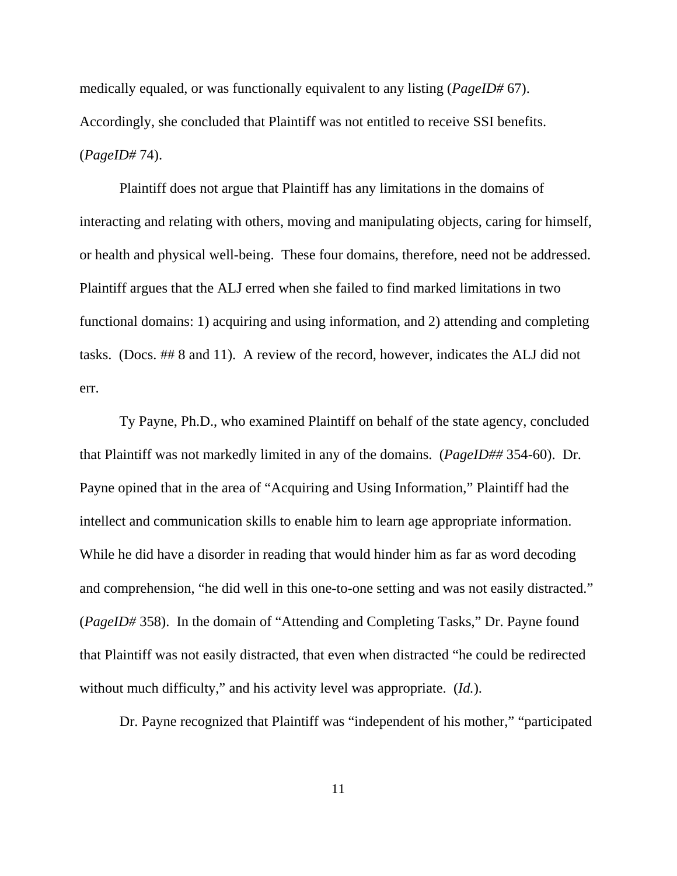medically equaled, or was functionally equivalent to any listing (*PageID#* 67). Accordingly, she concluded that Plaintiff was not entitled to receive SSI benefits. (*PageID#* 74).

Plaintiff does not argue that Plaintiff has any limitations in the domains of interacting and relating with others, moving and manipulating objects, caring for himself, or health and physical well-being. These four domains, therefore, need not be addressed. Plaintiff argues that the ALJ erred when she failed to find marked limitations in two functional domains: 1) acquiring and using information, and 2) attending and completing tasks. (Docs. ## 8 and 11). A review of the record, however, indicates the ALJ did not err.

Ty Payne, Ph.D., who examined Plaintiff on behalf of the state agency, concluded that Plaintiff was not markedly limited in any of the domains. (*PageID##* 354-60). Dr. Payne opined that in the area of "Acquiring and Using Information," Plaintiff had the intellect and communication skills to enable him to learn age appropriate information. While he did have a disorder in reading that would hinder him as far as word decoding and comprehension, "he did well in this one-to-one setting and was not easily distracted." (*PageID#* 358). In the domain of "Attending and Completing Tasks," Dr. Payne found that Plaintiff was not easily distracted, that even when distracted "he could be redirected without much difficulty," and his activity level was appropriate. (*Id.*).

Dr. Payne recognized that Plaintiff was "independent of his mother," "participated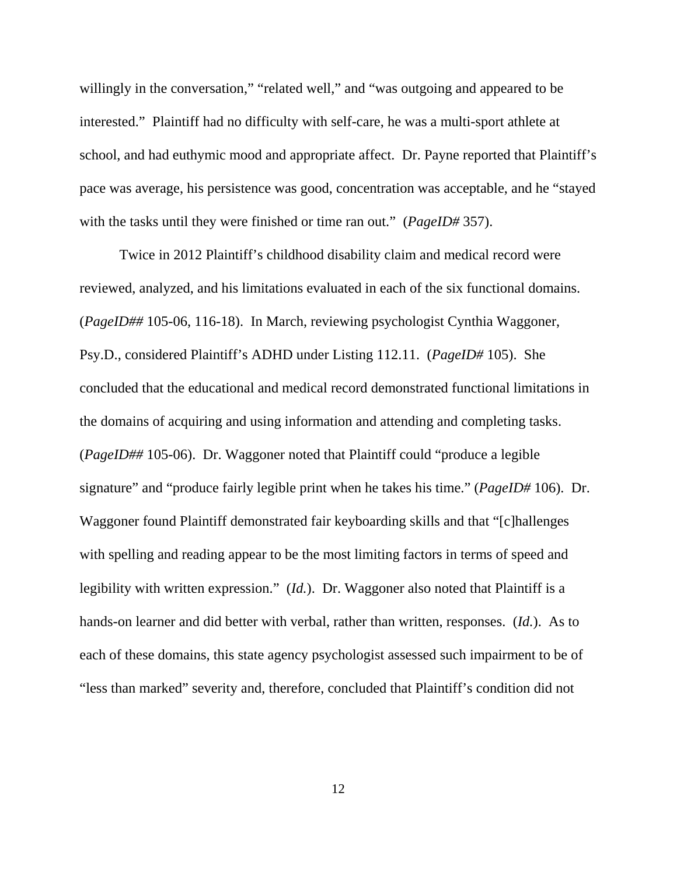willingly in the conversation," "related well," and "was outgoing and appeared to be interested." Plaintiff had no difficulty with self-care, he was a multi-sport athlete at school, and had euthymic mood and appropriate affect. Dr. Payne reported that Plaintiff's pace was average, his persistence was good, concentration was acceptable, and he "stayed with the tasks until they were finished or time ran out." (*PageID#* 357).

Twice in 2012 Plaintiff's childhood disability claim and medical record were reviewed, analyzed, and his limitations evaluated in each of the six functional domains. (*PageID##* 105-06, 116-18). In March, reviewing psychologist Cynthia Waggoner, Psy.D., considered Plaintiff's ADHD under Listing 112.11. (*PageID#* 105). She concluded that the educational and medical record demonstrated functional limitations in the domains of acquiring and using information and attending and completing tasks. (*PageID##* 105-06). Dr. Waggoner noted that Plaintiff could "produce a legible signature" and "produce fairly legible print when he takes his time." (*PageID#* 106). Dr. Waggoner found Plaintiff demonstrated fair keyboarding skills and that "[c]hallenges with spelling and reading appear to be the most limiting factors in terms of speed and legibility with written expression." (*Id.*). Dr. Waggoner also noted that Plaintiff is a hands-on learner and did better with verbal, rather than written, responses. (*Id.*). As to each of these domains, this state agency psychologist assessed such impairment to be of "less than marked" severity and, therefore, concluded that Plaintiff's condition did not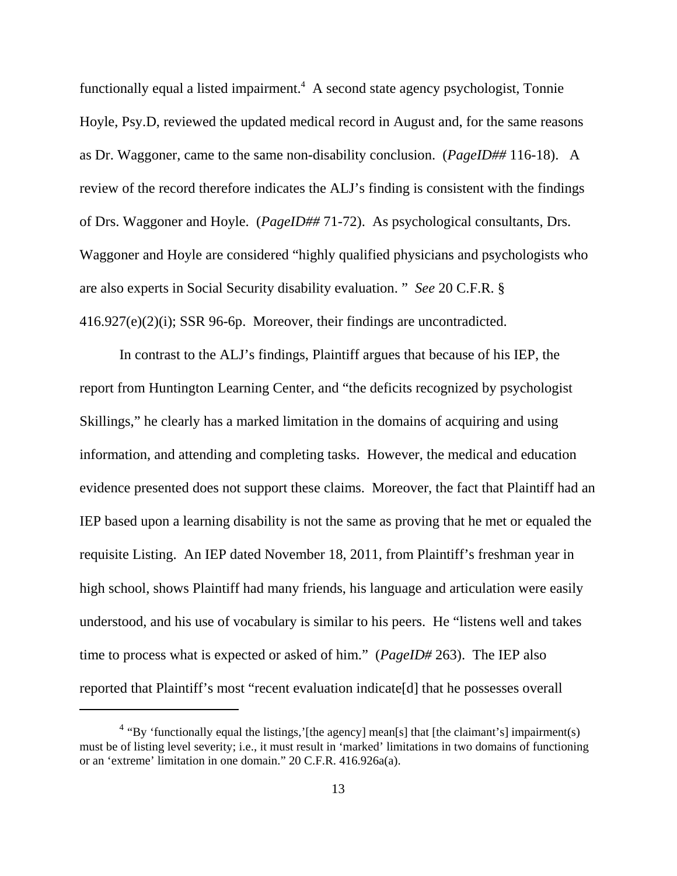functionally equal a listed impairment.<sup>4</sup> A second state agency psychologist, Tonnie Hoyle, Psy.D, reviewed the updated medical record in August and, for the same reasons as Dr. Waggoner, came to the same non-disability conclusion. (*PageID##* 116-18). A review of the record therefore indicates the ALJ's finding is consistent with the findings of Drs. Waggoner and Hoyle. (*PageID##* 71-72). As psychological consultants, Drs. Waggoner and Hoyle are considered "highly qualified physicians and psychologists who are also experts in Social Security disability evaluation. " *See* 20 C.F.R. § 416.927(e)(2)(i); SSR 96-6p. Moreover, their findings are uncontradicted.

In contrast to the ALJ's findings, Plaintiff argues that because of his IEP, the report from Huntington Learning Center, and "the deficits recognized by psychologist Skillings," he clearly has a marked limitation in the domains of acquiring and using information, and attending and completing tasks. However, the medical and education evidence presented does not support these claims. Moreover, the fact that Plaintiff had an IEP based upon a learning disability is not the same as proving that he met or equaled the requisite Listing. An IEP dated November 18, 2011, from Plaintiff's freshman year in high school, shows Plaintiff had many friends, his language and articulation were easily understood, and his use of vocabulary is similar to his peers. He "listens well and takes time to process what is expected or asked of him." (*PageID#* 263). The IEP also reported that Plaintiff's most "recent evaluation indicate[d] that he possesses overall

 $4$  "By 'functionally equal the listings,' [the agency] mean[s] that [the claimant's] impairment(s) must be of listing level severity; i.e., it must result in 'marked' limitations in two domains of functioning or an 'extreme' limitation in one domain." 20 C.F.R. 416.926a(a).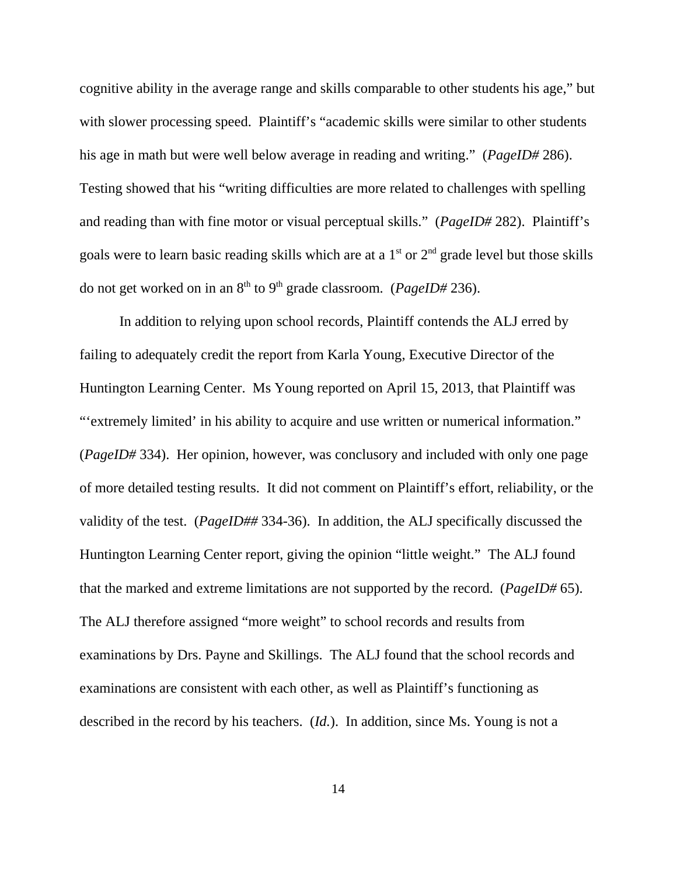cognitive ability in the average range and skills comparable to other students his age," but with slower processing speed. Plaintiff's "academic skills were similar to other students his age in math but were well below average in reading and writing." (*PageID#* 286). Testing showed that his "writing difficulties are more related to challenges with spelling and reading than with fine motor or visual perceptual skills." (*PageID#* 282). Plaintiff's goals were to learn basic reading skills which are at a  $1<sup>st</sup>$  or  $2<sup>nd</sup>$  grade level but those skills do not get worked on in an 8<sup>th</sup> to 9<sup>th</sup> grade classroom. (*PageID#* 236).

In addition to relying upon school records, Plaintiff contends the ALJ erred by failing to adequately credit the report from Karla Young, Executive Director of the Huntington Learning Center. Ms Young reported on April 15, 2013, that Plaintiff was "'extremely limited' in his ability to acquire and use written or numerical information." (*PageID#* 334). Her opinion, however, was conclusory and included with only one page of more detailed testing results. It did not comment on Plaintiff's effort, reliability, or the validity of the test. (*PageID##* 334-36). In addition, the ALJ specifically discussed the Huntington Learning Center report, giving the opinion "little weight." The ALJ found that the marked and extreme limitations are not supported by the record. (*PageID#* 65). The ALJ therefore assigned "more weight" to school records and results from examinations by Drs. Payne and Skillings. The ALJ found that the school records and examinations are consistent with each other, as well as Plaintiff's functioning as described in the record by his teachers. (*Id.*). In addition, since Ms. Young is not a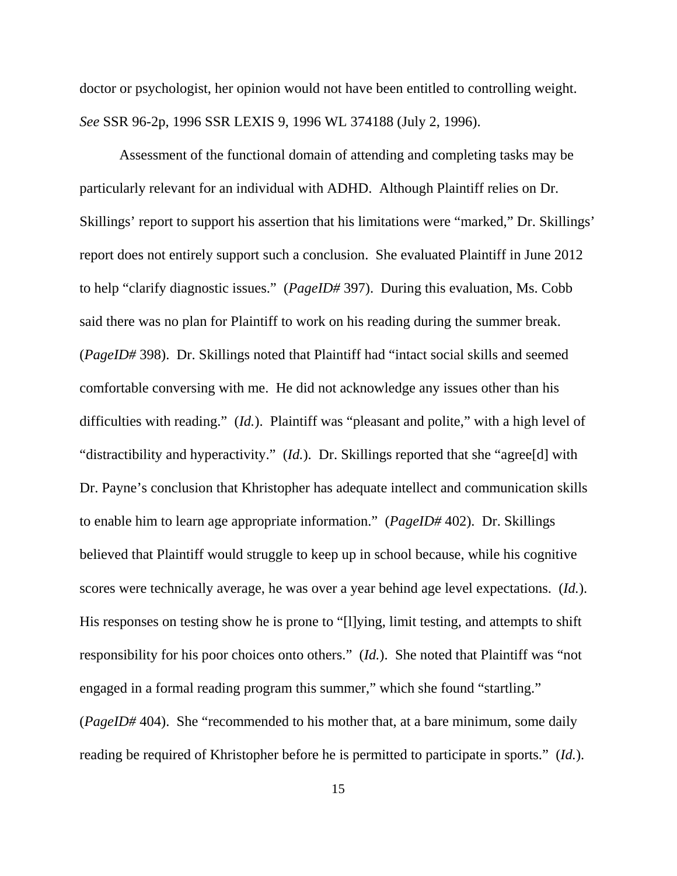doctor or psychologist, her opinion would not have been entitled to controlling weight. *See* SSR 96-2p, 1996 SSR LEXIS 9, 1996 WL 374188 (July 2, 1996).

Assessment of the functional domain of attending and completing tasks may be particularly relevant for an individual with ADHD. Although Plaintiff relies on Dr. Skillings' report to support his assertion that his limitations were "marked," Dr. Skillings' report does not entirely support such a conclusion. She evaluated Plaintiff in June 2012 to help "clarify diagnostic issues." (*PageID#* 397). During this evaluation, Ms. Cobb said there was no plan for Plaintiff to work on his reading during the summer break. (*PageID#* 398). Dr. Skillings noted that Plaintiff had "intact social skills and seemed comfortable conversing with me. He did not acknowledge any issues other than his difficulties with reading." (*Id.*). Plaintiff was "pleasant and polite," with a high level of "distractibility and hyperactivity." (*Id.*). Dr. Skillings reported that she "agree[d] with Dr. Payne's conclusion that Khristopher has adequate intellect and communication skills to enable him to learn age appropriate information." (*PageID#* 402). Dr. Skillings believed that Plaintiff would struggle to keep up in school because, while his cognitive scores were technically average, he was over a year behind age level expectations. (*Id.*). His responses on testing show he is prone to "[l]ying, limit testing, and attempts to shift responsibility for his poor choices onto others." (*Id.*). She noted that Plaintiff was "not engaged in a formal reading program this summer," which she found "startling." (*PageID#* 404). She "recommended to his mother that, at a bare minimum, some daily reading be required of Khristopher before he is permitted to participate in sports." (*Id.*).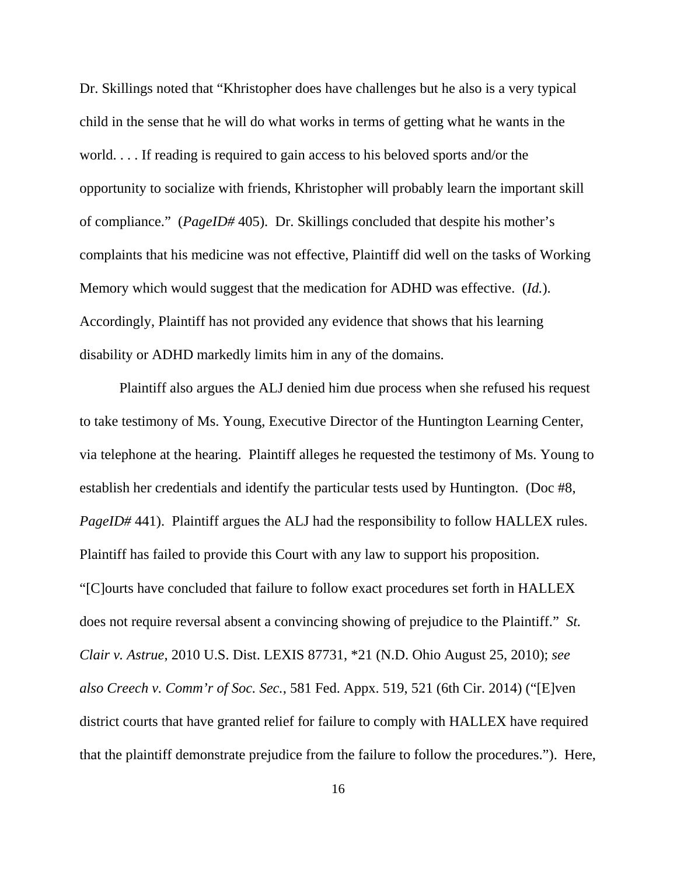Dr. Skillings noted that "Khristopher does have challenges but he also is a very typical child in the sense that he will do what works in terms of getting what he wants in the world. . . . If reading is required to gain access to his beloved sports and/or the opportunity to socialize with friends, Khristopher will probably learn the important skill of compliance." (*PageID#* 405). Dr. Skillings concluded that despite his mother's complaints that his medicine was not effective, Plaintiff did well on the tasks of Working Memory which would suggest that the medication for ADHD was effective. (*Id.*). Accordingly, Plaintiff has not provided any evidence that shows that his learning disability or ADHD markedly limits him in any of the domains.

Plaintiff also argues the ALJ denied him due process when she refused his request to take testimony of Ms. Young, Executive Director of the Huntington Learning Center, via telephone at the hearing. Plaintiff alleges he requested the testimony of Ms. Young to establish her credentials and identify the particular tests used by Huntington. (Doc #8, *PageID#* 441). Plaintiff argues the ALJ had the responsibility to follow HALLEX rules. Plaintiff has failed to provide this Court with any law to support his proposition. "[C]ourts have concluded that failure to follow exact procedures set forth in HALLEX does not require reversal absent a convincing showing of prejudice to the Plaintiff." *St. Clair v. Astrue*, 2010 U.S. Dist. LEXIS 87731, \*21 (N.D. Ohio August 25, 2010); *see also Creech v. Comm'r of Soc. Sec.*, 581 Fed. Appx. 519, 521 (6th Cir. 2014) ("[E]ven district courts that have granted relief for failure to comply with HALLEX have required that the plaintiff demonstrate prejudice from the failure to follow the procedures."). Here,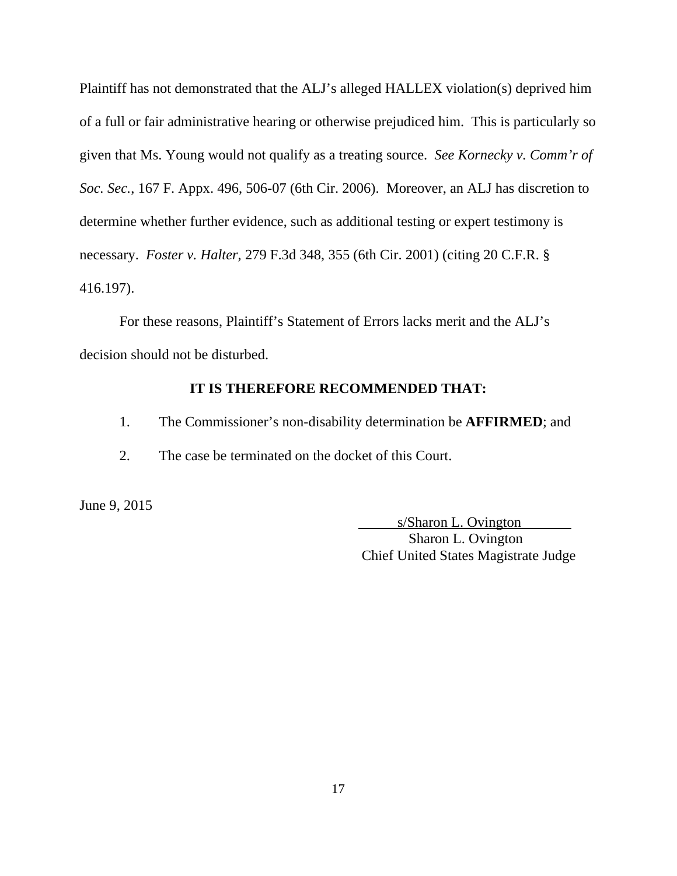Plaintiff has not demonstrated that the ALJ's alleged HALLEX violation(s) deprived him of a full or fair administrative hearing or otherwise prejudiced him. This is particularly so given that Ms. Young would not qualify as a treating source. *See Kornecky v. Comm'r of Soc. Sec.*, 167 F. Appx. 496, 506-07 (6th Cir. 2006). Moreover, an ALJ has discretion to determine whether further evidence, such as additional testing or expert testimony is necessary. *Foster v. Halter*, 279 F.3d 348, 355 (6th Cir. 2001) (citing 20 C.F.R. § 416.197).

For these reasons, Plaintiff's Statement of Errors lacks merit and the ALJ's decision should not be disturbed.

# **IT IS THEREFORE RECOMMENDED THAT:**

- 1. The Commissioner's non-disability determination be **AFFIRMED**; and
- 2. The case be terminated on the docket of this Court.

June 9, 2015

 s/Sharon L. Ovington Sharon L. Ovington Chief United States Magistrate Judge